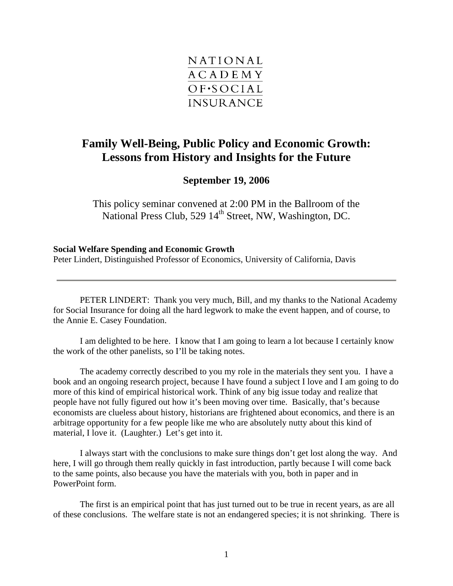

## **Family Well-Being, Public Policy and Economic Growth: Lessons from History and Insights for the Future**

## **September 19, 2006**

This policy seminar convened at 2:00 PM in the Ballroom of the National Press Club, 529 14<sup>th</sup> Street, NW, Washington, DC.

## **Social Welfare Spending and Economic Growth**

Peter Lindert, Distinguished Professor of Economics, University of California, Davis

PETER LINDERT: Thank you very much, Bill, and my thanks to the National Academy for Social Insurance for doing all the hard legwork to make the event happen, and of course, to the Annie E. Casey Foundation.

I am delighted to be here. I know that I am going to learn a lot because I certainly know the work of the other panelists, so I'll be taking notes.

The academy correctly described to you my role in the materials they sent you. I have a book and an ongoing research project, because I have found a subject I love and I am going to do more of this kind of empirical historical work. Think of any big issue today and realize that people have not fully figured out how it's been moving over time. Basically, that's because economists are clueless about history, historians are frightened about economics, and there is an arbitrage opportunity for a few people like me who are absolutely nutty about this kind of material, I love it. (Laughter.) Let's get into it.

I always start with the conclusions to make sure things don't get lost along the way. And here, I will go through them really quickly in fast introduction, partly because I will come back to the same points, also because you have the materials with you, both in paper and in PowerPoint form.

The first is an empirical point that has just turned out to be true in recent years, as are all of these conclusions. The welfare state is not an endangered species; it is not shrinking. There is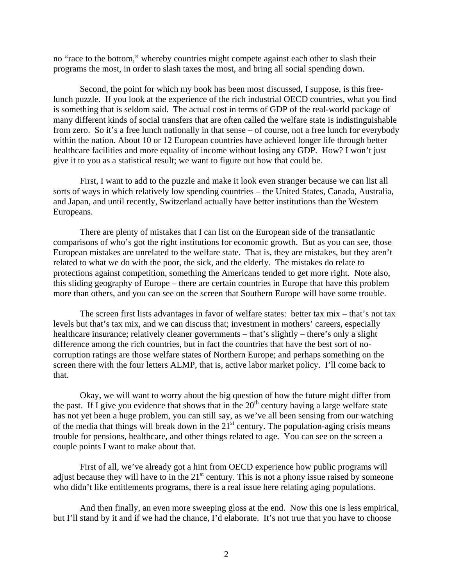no "race to the bottom," whereby countries might compete against each other to slash their programs the most, in order to slash taxes the most, and bring all social spending down.

Second, the point for which my book has been most discussed, I suppose, is this freelunch puzzle. If you look at the experience of the rich industrial OECD countries, what you find is something that is seldom said. The actual cost in terms of GDP of the real-world package of many different kinds of social transfers that are often called the welfare state is indistinguishable from zero. So it's a free lunch nationally in that sense – of course, not a free lunch for everybody within the nation. About 10 or 12 European countries have achieved longer life through better healthcare facilities and more equality of income without losing any GDP. How? I won't just give it to you as a statistical result; we want to figure out how that could be.

First, I want to add to the puzzle and make it look even stranger because we can list all sorts of ways in which relatively low spending countries – the United States, Canada, Australia, and Japan, and until recently, Switzerland actually have better institutions than the Western Europeans.

There are plenty of mistakes that I can list on the European side of the transatlantic comparisons of who's got the right institutions for economic growth. But as you can see, those European mistakes are unrelated to the welfare state. That is, they are mistakes, but they aren't related to what we do with the poor, the sick, and the elderly. The mistakes do relate to protections against competition, something the Americans tended to get more right. Note also, this sliding geography of Europe – there are certain countries in Europe that have this problem more than others, and you can see on the screen that Southern Europe will have some trouble.

The screen first lists advantages in favor of welfare states: better tax mix – that's not tax levels but that's tax mix, and we can discuss that; investment in mothers' careers, especially healthcare insurance; relatively cleaner governments – that's slightly – there's only a slight difference among the rich countries, but in fact the countries that have the best sort of nocorruption ratings are those welfare states of Northern Europe; and perhaps something on the screen there with the four letters ALMP, that is, active labor market policy. I'll come back to that.

Okay, we will want to worry about the big question of how the future might differ from the past. If I give you evidence that shows that in the  $20<sup>th</sup>$  century having a large welfare state has not yet been a huge problem, you can still say, as we've all been sensing from our watching of the media that things will break down in the  $21<sup>st</sup>$  century. The population-aging crisis means trouble for pensions, healthcare, and other things related to age. You can see on the screen a couple points I want to make about that.

First of all, we've already got a hint from OECD experience how public programs will adjust because they will have to in the  $21<sup>st</sup>$  century. This is not a phony issue raised by someone who didn't like entitlements programs, there is a real issue here relating aging populations.

And then finally, an even more sweeping gloss at the end. Now this one is less empirical, but I'll stand by it and if we had the chance, I'd elaborate. It's not true that you have to choose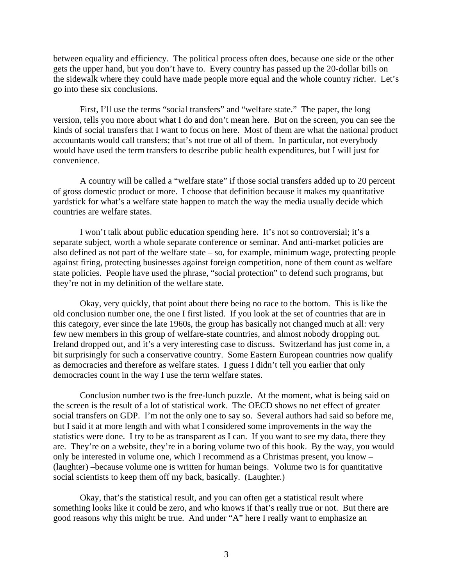between equality and efficiency. The political process often does, because one side or the other gets the upper hand, but you don't have to. Every country has passed up the 20-dollar bills on the sidewalk where they could have made people more equal and the whole country richer. Let's go into these six conclusions.

First, I'll use the terms "social transfers" and "welfare state." The paper, the long version, tells you more about what I do and don't mean here. But on the screen, you can see the kinds of social transfers that I want to focus on here. Most of them are what the national product accountants would call transfers; that's not true of all of them. In particular, not everybody would have used the term transfers to describe public health expenditures, but I will just for convenience.

A country will be called a "welfare state" if those social transfers added up to 20 percent of gross domestic product or more. I choose that definition because it makes my quantitative yardstick for what's a welfare state happen to match the way the media usually decide which countries are welfare states.

I won't talk about public education spending here. It's not so controversial; it's a separate subject, worth a whole separate conference or seminar. And anti-market policies are also defined as not part of the welfare state – so, for example, minimum wage, protecting people against firing, protecting businesses against foreign competition, none of them count as welfare state policies. People have used the phrase, "social protection" to defend such programs, but they're not in my definition of the welfare state.

Okay, very quickly, that point about there being no race to the bottom. This is like the old conclusion number one, the one I first listed. If you look at the set of countries that are in this category, ever since the late 1960s, the group has basically not changed much at all: very few new members in this group of welfare-state countries, and almost nobody dropping out. Ireland dropped out, and it's a very interesting case to discuss. Switzerland has just come in, a bit surprisingly for such a conservative country. Some Eastern European countries now qualify as democracies and therefore as welfare states. I guess I didn't tell you earlier that only democracies count in the way I use the term welfare states.

Conclusion number two is the free-lunch puzzle. At the moment, what is being said on the screen is the result of a lot of statistical work. The OECD shows no net effect of greater social transfers on GDP. I'm not the only one to say so. Several authors had said so before me, but I said it at more length and with what I considered some improvements in the way the statistics were done. I try to be as transparent as I can. If you want to see my data, there they are. They're on a website, they're in a boring volume two of this book. By the way, you would only be interested in volume one, which I recommend as a Christmas present, you know – (laughter) –because volume one is written for human beings. Volume two is for quantitative social scientists to keep them off my back, basically. (Laughter.)

Okay, that's the statistical result, and you can often get a statistical result where something looks like it could be zero, and who knows if that's really true or not. But there are good reasons why this might be true. And under "A" here I really want to emphasize an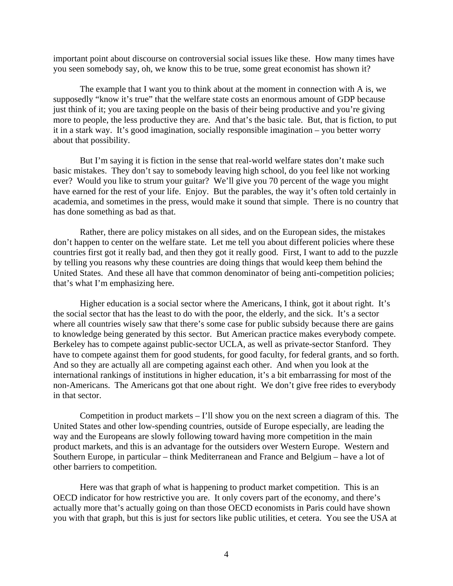important point about discourse on controversial social issues like these. How many times have you seen somebody say, oh, we know this to be true, some great economist has shown it?

The example that I want you to think about at the moment in connection with A is, we supposedly "know it's true" that the welfare state costs an enormous amount of GDP because just think of it; you are taxing people on the basis of their being productive and you're giving more to people, the less productive they are. And that's the basic tale. But, that is fiction, to put it in a stark way. It's good imagination, socially responsible imagination – you better worry about that possibility.

But I'm saying it is fiction in the sense that real-world welfare states don't make such basic mistakes. They don't say to somebody leaving high school, do you feel like not working ever? Would you like to strum your guitar? We'll give you 70 percent of the wage you might have earned for the rest of your life. Enjoy. But the parables, the way it's often told certainly in academia, and sometimes in the press, would make it sound that simple. There is no country that has done something as bad as that.

Rather, there are policy mistakes on all sides, and on the European sides, the mistakes don't happen to center on the welfare state. Let me tell you about different policies where these countries first got it really bad, and then they got it really good. First, I want to add to the puzzle by telling you reasons why these countries are doing things that would keep them behind the United States. And these all have that common denominator of being anti-competition policies; that's what I'm emphasizing here.

Higher education is a social sector where the Americans, I think, got it about right. It's the social sector that has the least to do with the poor, the elderly, and the sick. It's a sector where all countries wisely saw that there's some case for public subsidy because there are gains to knowledge being generated by this sector. But American practice makes everybody compete. Berkeley has to compete against public-sector UCLA, as well as private-sector Stanford. They have to compete against them for good students, for good faculty, for federal grants, and so forth. And so they are actually all are competing against each other. And when you look at the international rankings of institutions in higher education, it's a bit embarrassing for most of the non-Americans. The Americans got that one about right. We don't give free rides to everybody in that sector.

Competition in product markets  $-1$ 'll show you on the next screen a diagram of this. The United States and other low-spending countries, outside of Europe especially, are leading the way and the Europeans are slowly following toward having more competition in the main product markets, and this is an advantage for the outsiders over Western Europe. Western and Southern Europe, in particular – think Mediterranean and France and Belgium – have a lot of other barriers to competition.

Here was that graph of what is happening to product market competition. This is an OECD indicator for how restrictive you are. It only covers part of the economy, and there's actually more that's actually going on than those OECD economists in Paris could have shown you with that graph, but this is just for sectors like public utilities, et cetera. You see the USA at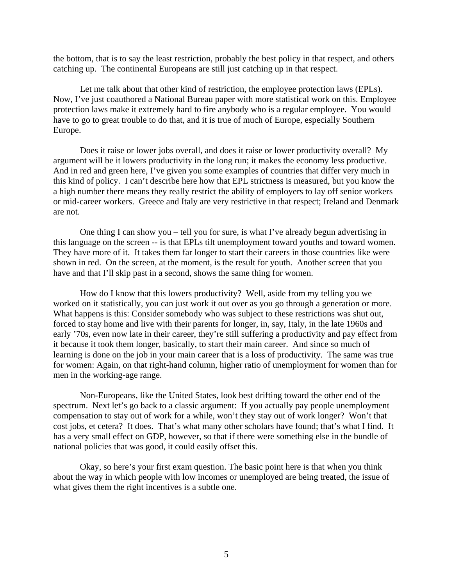the bottom, that is to say the least restriction, probably the best policy in that respect, and others catching up. The continental Europeans are still just catching up in that respect.

Let me talk about that other kind of restriction, the employee protection laws (EPLs). Now, I've just coauthored a National Bureau paper with more statistical work on this. Employee protection laws make it extremely hard to fire anybody who is a regular employee. You would have to go to great trouble to do that, and it is true of much of Europe, especially Southern Europe.

Does it raise or lower jobs overall, and does it raise or lower productivity overall? My argument will be it lowers productivity in the long run; it makes the economy less productive. And in red and green here, I've given you some examples of countries that differ very much in this kind of policy. I can't describe here how that EPL strictness is measured, but you know the a high number there means they really restrict the ability of employers to lay off senior workers or mid-career workers. Greece and Italy are very restrictive in that respect; Ireland and Denmark are not.

One thing I can show you – tell you for sure, is what I've already begun advertising in this language on the screen -- is that EPLs tilt unemployment toward youths and toward women. They have more of it. It takes them far longer to start their careers in those countries like were shown in red. On the screen, at the moment, is the result for youth. Another screen that you have and that I'll skip past in a second, shows the same thing for women.

How do I know that this lowers productivity? Well, aside from my telling you we worked on it statistically, you can just work it out over as you go through a generation or more. What happens is this: Consider somebody who was subject to these restrictions was shut out, forced to stay home and live with their parents for longer, in, say, Italy, in the late 1960s and early '70s, even now late in their career, they're still suffering a productivity and pay effect from it because it took them longer, basically, to start their main career. And since so much of learning is done on the job in your main career that is a loss of productivity. The same was true for women: Again, on that right-hand column, higher ratio of unemployment for women than for men in the working-age range.

Non-Europeans, like the United States, look best drifting toward the other end of the spectrum. Next let's go back to a classic argument: If you actually pay people unemployment compensation to stay out of work for a while, won't they stay out of work longer? Won't that cost jobs, et cetera? It does. That's what many other scholars have found; that's what I find. It has a very small effect on GDP, however, so that if there were something else in the bundle of national policies that was good, it could easily offset this.

Okay, so here's your first exam question. The basic point here is that when you think about the way in which people with low incomes or unemployed are being treated, the issue of what gives them the right incentives is a subtle one.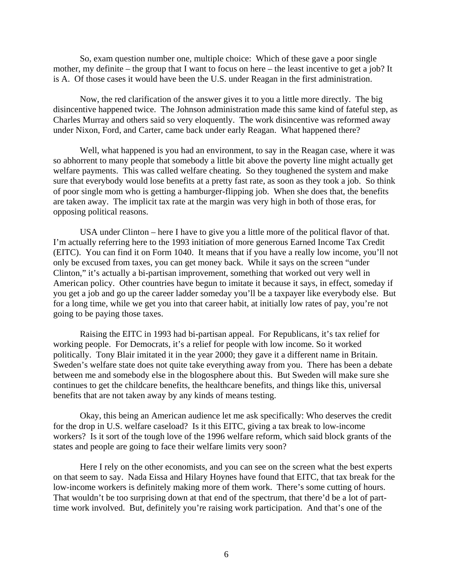So, exam question number one, multiple choice: Which of these gave a poor single mother, my definite – the group that I want to focus on here – the least incentive to get a job? It is A. Of those cases it would have been the U.S. under Reagan in the first administration.

Now, the red clarification of the answer gives it to you a little more directly. The big disincentive happened twice. The Johnson administration made this same kind of fateful step, as Charles Murray and others said so very eloquently. The work disincentive was reformed away under Nixon, Ford, and Carter, came back under early Reagan. What happened there?

Well, what happened is you had an environment, to say in the Reagan case, where it was so abhorrent to many people that somebody a little bit above the poverty line might actually get welfare payments. This was called welfare cheating. So they toughened the system and make sure that everybody would lose benefits at a pretty fast rate, as soon as they took a job. So think of poor single mom who is getting a hamburger-flipping job. When she does that, the benefits are taken away. The implicit tax rate at the margin was very high in both of those eras, for opposing political reasons.

USA under Clinton – here I have to give you a little more of the political flavor of that. I'm actually referring here to the 1993 initiation of more generous Earned Income Tax Credit (EITC). You can find it on Form 1040. It means that if you have a really low income, you'll not only be excused from taxes, you can get money back. While it says on the screen "under Clinton," it's actually a bi-partisan improvement, something that worked out very well in American policy. Other countries have begun to imitate it because it says, in effect, someday if you get a job and go up the career ladder someday you'll be a taxpayer like everybody else. But for a long time, while we get you into that career habit, at initially low rates of pay, you're not going to be paying those taxes.

Raising the EITC in 1993 had bi-partisan appeal. For Republicans, it's tax relief for working people. For Democrats, it's a relief for people with low income. So it worked politically. Tony Blair imitated it in the year 2000; they gave it a different name in Britain. Sweden's welfare state does not quite take everything away from you. There has been a debate between me and somebody else in the blogosphere about this. But Sweden will make sure she continues to get the childcare benefits, the healthcare benefits, and things like this, universal benefits that are not taken away by any kinds of means testing.

Okay, this being an American audience let me ask specifically: Who deserves the credit for the drop in U.S. welfare caseload? Is it this EITC, giving a tax break to low-income workers? Is it sort of the tough love of the 1996 welfare reform, which said block grants of the states and people are going to face their welfare limits very soon?

Here I rely on the other economists, and you can see on the screen what the best experts on that seem to say. Nada Eissa and Hilary Hoynes have found that EITC, that tax break for the low-income workers is definitely making more of them work. There's some cutting of hours. That wouldn't be too surprising down at that end of the spectrum, that there'd be a lot of parttime work involved. But, definitely you're raising work participation. And that's one of the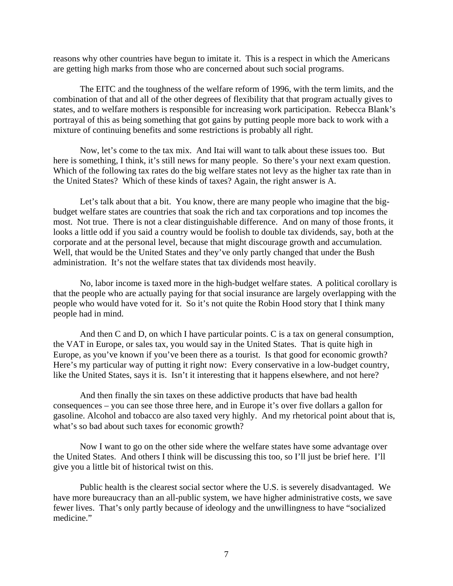reasons why other countries have begun to imitate it. This is a respect in which the Americans are getting high marks from those who are concerned about such social programs.

The EITC and the toughness of the welfare reform of 1996, with the term limits, and the combination of that and all of the other degrees of flexibility that that program actually gives to states, and to welfare mothers is responsible for increasing work participation. Rebecca Blank's portrayal of this as being something that got gains by putting people more back to work with a mixture of continuing benefits and some restrictions is probably all right.

Now, let's come to the tax mix. And Itai will want to talk about these issues too. But here is something, I think, it's still news for many people. So there's your next exam question. Which of the following tax rates do the big welfare states not levy as the higher tax rate than in the United States? Which of these kinds of taxes? Again, the right answer is A.

Let's talk about that a bit. You know, there are many people who imagine that the bigbudget welfare states are countries that soak the rich and tax corporations and top incomes the most. Not true. There is not a clear distinguishable difference. And on many of those fronts, it looks a little odd if you said a country would be foolish to double tax dividends, say, both at the corporate and at the personal level, because that might discourage growth and accumulation. Well, that would be the United States and they've only partly changed that under the Bush administration. It's not the welfare states that tax dividends most heavily.

No, labor income is taxed more in the high-budget welfare states. A political corollary is that the people who are actually paying for that social insurance are largely overlapping with the people who would have voted for it. So it's not quite the Robin Hood story that I think many people had in mind.

And then C and D, on which I have particular points. C is a tax on general consumption, the VAT in Europe, or sales tax, you would say in the United States. That is quite high in Europe, as you've known if you've been there as a tourist. Is that good for economic growth? Here's my particular way of putting it right now: Every conservative in a low-budget country, like the United States, says it is. Isn't it interesting that it happens elsewhere, and not here?

And then finally the sin taxes on these addictive products that have bad health consequences – you can see those three here, and in Europe it's over five dollars a gallon for gasoline. Alcohol and tobacco are also taxed very highly. And my rhetorical point about that is, what's so bad about such taxes for economic growth?

Now I want to go on the other side where the welfare states have some advantage over the United States. And others I think will be discussing this too, so I'll just be brief here. I'll give you a little bit of historical twist on this.

Public health is the clearest social sector where the U.S. is severely disadvantaged. We have more bureaucracy than an all-public system, we have higher administrative costs, we save fewer lives. That's only partly because of ideology and the unwillingness to have "socialized medicine."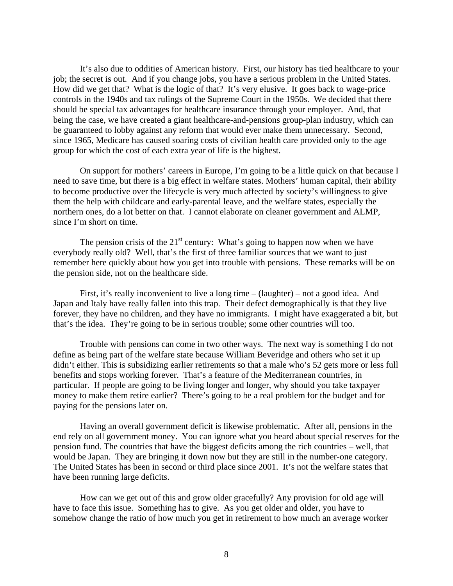It's also due to oddities of American history. First, our history has tied healthcare to your job; the secret is out. And if you change jobs, you have a serious problem in the United States. How did we get that? What is the logic of that? It's very elusive. It goes back to wage-price controls in the 1940s and tax rulings of the Supreme Court in the 1950s. We decided that there should be special tax advantages for healthcare insurance through your employer. And, that being the case, we have created a giant healthcare-and-pensions group-plan industry, which can be guaranteed to lobby against any reform that would ever make them unnecessary. Second, since 1965, Medicare has caused soaring costs of civilian health care provided only to the age group for which the cost of each extra year of life is the highest.

On support for mothers' careers in Europe, I'm going to be a little quick on that because I need to save time, but there is a big effect in welfare states. Mothers' human capital, their ability to become productive over the lifecycle is very much affected by society's willingness to give them the help with childcare and early-parental leave, and the welfare states, especially the northern ones, do a lot better on that. I cannot elaborate on cleaner government and ALMP, since I'm short on time.

The pension crisis of the  $21<sup>st</sup>$  century: What's going to happen now when we have everybody really old? Well, that's the first of three familiar sources that we want to just remember here quickly about how you get into trouble with pensions. These remarks will be on the pension side, not on the healthcare side.

First, it's really inconvenient to live a long time – (laughter) – not a good idea. And Japan and Italy have really fallen into this trap. Their defect demographically is that they live forever, they have no children, and they have no immigrants. I might have exaggerated a bit, but that's the idea. They're going to be in serious trouble; some other countries will too.

Trouble with pensions can come in two other ways. The next way is something I do not define as being part of the welfare state because William Beveridge and others who set it up didn't either. This is subsidizing earlier retirements so that a male who's 52 gets more or less full benefits and stops working forever. That's a feature of the Mediterranean countries, in particular. If people are going to be living longer and longer, why should you take taxpayer money to make them retire earlier? There's going to be a real problem for the budget and for paying for the pensions later on.

Having an overall government deficit is likewise problematic. After all, pensions in the end rely on all government money. You can ignore what you heard about special reserves for the pension fund. The countries that have the biggest deficits among the rich countries – well, that would be Japan. They are bringing it down now but they are still in the number-one category. The United States has been in second or third place since 2001. It's not the welfare states that have been running large deficits.

How can we get out of this and grow older gracefully? Any provision for old age will have to face this issue. Something has to give. As you get older and older, you have to somehow change the ratio of how much you get in retirement to how much an average worker